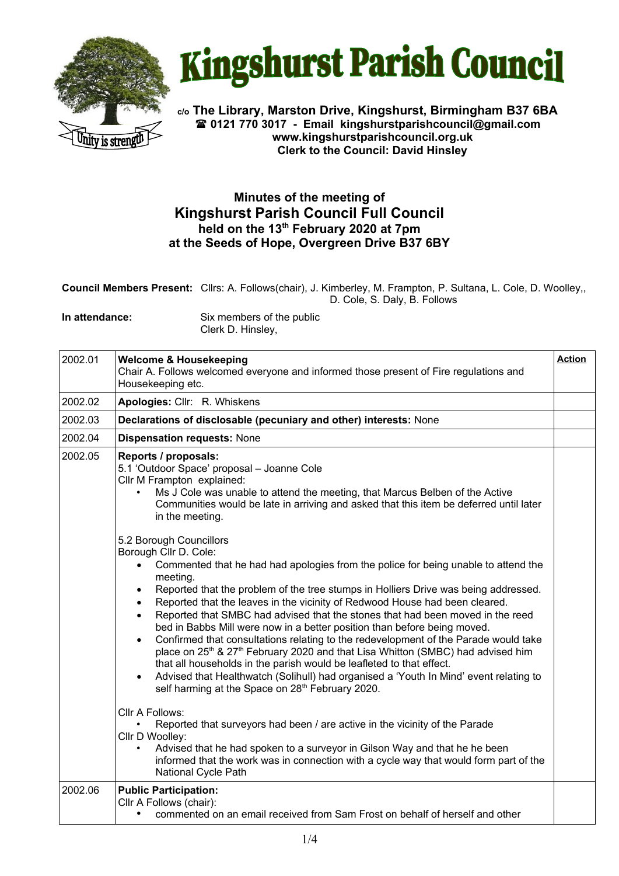



**c/o The Library, Marston Drive, Kingshurst, Birmingham B37 6BA 0121 770 3017 - Email [kingshurstparishcouncil@gmail.com](mailto:kingshurstparishcouncil@gmail.com) www.kingshurstparishcouncil.org.uk Clerk to the Council: David Hinsley** 

## **Minutes of the meeting of Kingshurst Parish Council Full Council held on the 13th February 2020 at 7pm at the Seeds of Hope, Overgreen Drive B37 6BY**

**Council Members Present:** Cllrs: A. Follows(chair), J. Kimberley, M. Frampton, P. Sultana, L. Cole, D. Woolley,, D. Cole, S. Daly, B. Follows

**In attendance:** Six members of the public Clerk D. Hinsley,

| 2002.01 | <b>Welcome &amp; Housekeeping</b><br>Chair A. Follows welcomed everyone and informed those present of Fire regulations and<br>Housekeeping etc.                                                                                                                                                                                                                                                                                                                                                                                                                                                                                                                                                                                                                                                                                                                                                                                                                                                                                                                                                                                                                                                                                                                                                                                                                                                                                                                                                                                                                                                                | <b>Action</b> |
|---------|----------------------------------------------------------------------------------------------------------------------------------------------------------------------------------------------------------------------------------------------------------------------------------------------------------------------------------------------------------------------------------------------------------------------------------------------------------------------------------------------------------------------------------------------------------------------------------------------------------------------------------------------------------------------------------------------------------------------------------------------------------------------------------------------------------------------------------------------------------------------------------------------------------------------------------------------------------------------------------------------------------------------------------------------------------------------------------------------------------------------------------------------------------------------------------------------------------------------------------------------------------------------------------------------------------------------------------------------------------------------------------------------------------------------------------------------------------------------------------------------------------------------------------------------------------------------------------------------------------------|---------------|
| 2002.02 | Apologies: Cllr: R. Whiskens                                                                                                                                                                                                                                                                                                                                                                                                                                                                                                                                                                                                                                                                                                                                                                                                                                                                                                                                                                                                                                                                                                                                                                                                                                                                                                                                                                                                                                                                                                                                                                                   |               |
| 2002.03 | Declarations of disclosable (pecuniary and other) interests: None                                                                                                                                                                                                                                                                                                                                                                                                                                                                                                                                                                                                                                                                                                                                                                                                                                                                                                                                                                                                                                                                                                                                                                                                                                                                                                                                                                                                                                                                                                                                              |               |
| 2002.04 | <b>Dispensation requests: None</b>                                                                                                                                                                                                                                                                                                                                                                                                                                                                                                                                                                                                                                                                                                                                                                                                                                                                                                                                                                                                                                                                                                                                                                                                                                                                                                                                                                                                                                                                                                                                                                             |               |
| 2002.05 | Reports / proposals:<br>5.1 'Outdoor Space' proposal - Joanne Cole<br>Cllr M Frampton explained:<br>Ms J Cole was unable to attend the meeting, that Marcus Belben of the Active<br>$\bullet$<br>Communities would be late in arriving and asked that this item be deferred until later<br>in the meeting.<br>5.2 Borough Councillors<br>Borough Cllr D. Cole:<br>Commented that he had had apologies from the police for being unable to attend the<br>$\bullet$<br>meeting.<br>Reported that the problem of the tree stumps in Holliers Drive was being addressed.<br>$\bullet$<br>Reported that the leaves in the vicinity of Redwood House had been cleared.<br>$\bullet$<br>Reported that SMBC had advised that the stones that had been moved in the reed<br>bed in Babbs Mill were now in a better position than before being moved.<br>Confirmed that consultations relating to the redevelopment of the Parade would take<br>place on 25 <sup>th</sup> & 27 <sup>th</sup> February 2020 and that Lisa Whitton (SMBC) had advised him<br>that all households in the parish would be leafleted to that effect.<br>Advised that Healthwatch (Solihull) had organised a 'Youth In Mind' event relating to<br>$\bullet$<br>self harming at the Space on 28 <sup>th</sup> February 2020.<br>Cllr A Follows:<br>Reported that surveyors had been / are active in the vicinity of the Parade<br>Cllr D Woolley:<br>Advised that he had spoken to a surveyor in Gilson Way and that he he been<br>informed that the work was in connection with a cycle way that would form part of the<br>National Cycle Path |               |
| 2002.06 | <b>Public Participation:</b><br>Cllr A Follows (chair):<br>commented on an email received from Sam Frost on behalf of herself and other                                                                                                                                                                                                                                                                                                                                                                                                                                                                                                                                                                                                                                                                                                                                                                                                                                                                                                                                                                                                                                                                                                                                                                                                                                                                                                                                                                                                                                                                        |               |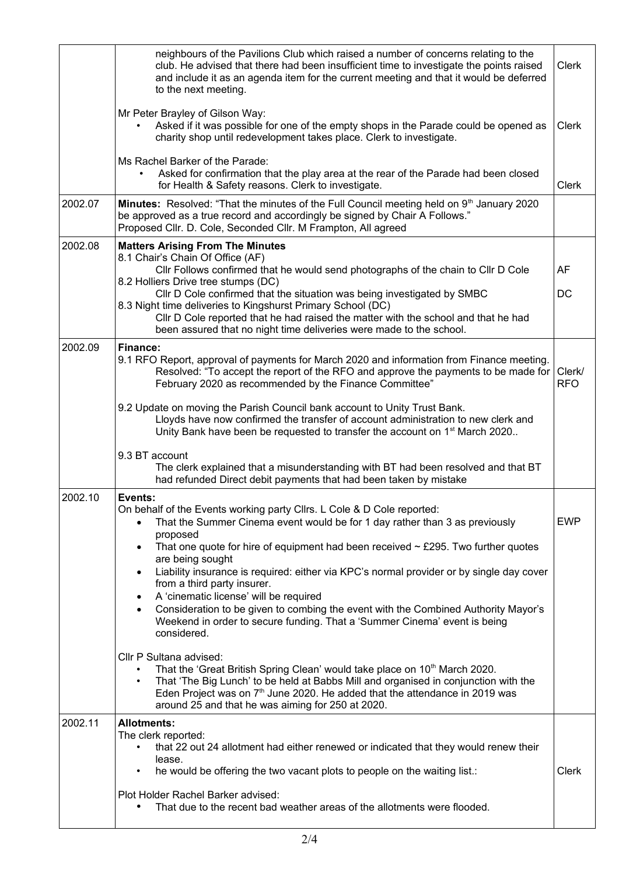|         | neighbours of the Pavilions Club which raised a number of concerns relating to the<br>club. He advised that there had been insufficient time to investigate the points raised<br>and include it as an agenda item for the current meeting and that it would be deferred<br>to the next meeting.                                                                                                                                                                                                                                                                                                                                                                                                                                                                                                                                                                                                                                                                                                                                                                                                                                                     | <b>Clerk</b>         |
|---------|-----------------------------------------------------------------------------------------------------------------------------------------------------------------------------------------------------------------------------------------------------------------------------------------------------------------------------------------------------------------------------------------------------------------------------------------------------------------------------------------------------------------------------------------------------------------------------------------------------------------------------------------------------------------------------------------------------------------------------------------------------------------------------------------------------------------------------------------------------------------------------------------------------------------------------------------------------------------------------------------------------------------------------------------------------------------------------------------------------------------------------------------------------|----------------------|
|         | Mr Peter Brayley of Gilson Way:<br>Asked if it was possible for one of the empty shops in the Parade could be opened as<br>charity shop until redevelopment takes place. Clerk to investigate.                                                                                                                                                                                                                                                                                                                                                                                                                                                                                                                                                                                                                                                                                                                                                                                                                                                                                                                                                      | Clerk                |
|         | Ms Rachel Barker of the Parade:<br>Asked for confirmation that the play area at the rear of the Parade had been closed<br>for Health & Safety reasons. Clerk to investigate.                                                                                                                                                                                                                                                                                                                                                                                                                                                                                                                                                                                                                                                                                                                                                                                                                                                                                                                                                                        | Clerk                |
| 2002.07 | Minutes: Resolved: "That the minutes of the Full Council meeting held on 9 <sup>th</sup> January 2020<br>be approved as a true record and accordingly be signed by Chair A Follows."<br>Proposed Cllr. D. Cole, Seconded Cllr. M Frampton, All agreed                                                                                                                                                                                                                                                                                                                                                                                                                                                                                                                                                                                                                                                                                                                                                                                                                                                                                               |                      |
| 2002.08 | <b>Matters Arising From The Minutes</b><br>8.1 Chair's Chain Of Office (AF)<br>Cllr Follows confirmed that he would send photographs of the chain to Cllr D Cole<br>8.2 Holliers Drive tree stumps (DC)<br>CIIr D Cole confirmed that the situation was being investigated by SMBC<br>8.3 Night time deliveries to Kingshurst Primary School (DC)<br>Cllr D Cole reported that he had raised the matter with the school and that he had<br>been assured that no night time deliveries were made to the school.                                                                                                                                                                                                                                                                                                                                                                                                                                                                                                                                                                                                                                      | AF<br>DC             |
| 2002.09 | Finance:<br>9.1 RFO Report, approval of payments for March 2020 and information from Finance meeting.<br>Resolved: "To accept the report of the RFO and approve the payments to be made for  <br>February 2020 as recommended by the Finance Committee"<br>9.2 Update on moving the Parish Council bank account to Unity Trust Bank.<br>Lloyds have now confirmed the transfer of account administration to new clerk and<br>Unity Bank have been be requested to transfer the account on 1 <sup>st</sup> March 2020<br>9.3 BT account<br>The clerk explained that a misunderstanding with BT had been resolved and that BT                                                                                                                                                                                                                                                                                                                                                                                                                                                                                                                         | Clerk/<br><b>RFO</b> |
| 2002.10 | had refunded Direct debit payments that had been taken by mistake<br>Events:<br>On behalf of the Events working party Cllrs. L Cole & D Cole reported:<br>That the Summer Cinema event would be for 1 day rather than 3 as previously<br>$\bullet$<br>proposed<br>That one quote for hire of equipment had been received $\sim$ £295. Two further quotes<br>$\bullet$<br>are being sought<br>Liability insurance is required: either via KPC's normal provider or by single day cover<br>$\bullet$<br>from a third party insurer.<br>A 'cinematic license' will be required<br>$\bullet$<br>Consideration to be given to combing the event with the Combined Authority Mayor's<br>$\bullet$<br>Weekend in order to secure funding. That a 'Summer Cinema' event is being<br>considered.<br>Cllr P Sultana advised:<br>That the 'Great British Spring Clean' would take place on 10 <sup>th</sup> March 2020.<br>That 'The Big Lunch' to be held at Babbs Mill and organised in conjunction with the<br>Eden Project was on 7 <sup>th</sup> June 2020. He added that the attendance in 2019 was<br>around 25 and that he was aiming for 250 at 2020. | <b>EWP</b>           |
| 2002.11 | <b>Allotments:</b><br>The clerk reported:<br>that 22 out 24 allotment had either renewed or indicated that they would renew their<br>$\bullet$<br>lease.<br>he would be offering the two vacant plots to people on the waiting list.:<br>Plot Holder Rachel Barker advised:<br>That due to the recent bad weather areas of the allotments were flooded.                                                                                                                                                                                                                                                                                                                                                                                                                                                                                                                                                                                                                                                                                                                                                                                             | Clerk                |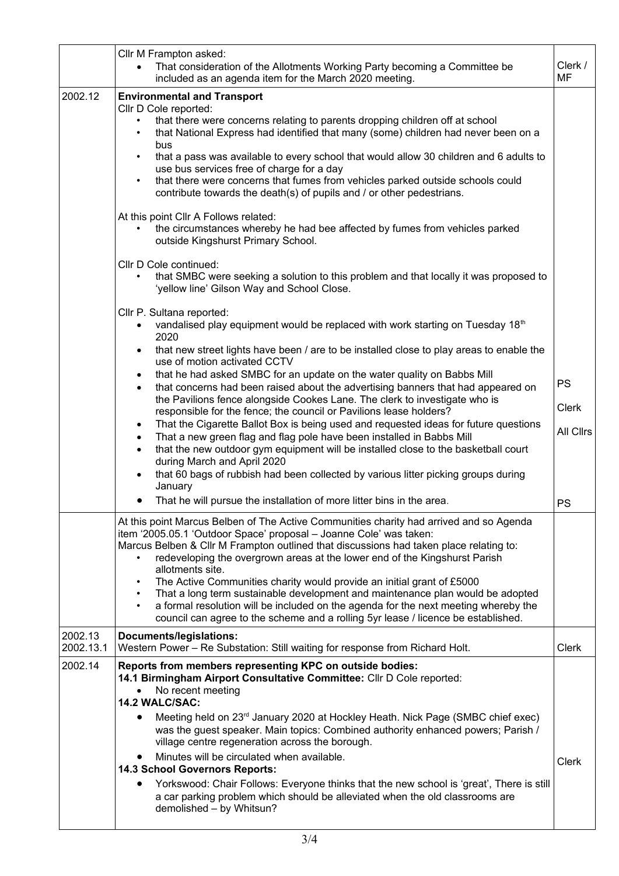|                      | Cllr M Frampton asked:<br>That consideration of the Allotments Working Party becoming a Committee be<br>$\bullet$<br>included as an agenda item for the March 2020 meeting.                                                                                                                                                                               | Clerk /<br><b>MF</b> |
|----------------------|-----------------------------------------------------------------------------------------------------------------------------------------------------------------------------------------------------------------------------------------------------------------------------------------------------------------------------------------------------------|----------------------|
| 2002.12              | <b>Environmental and Transport</b><br>Cllr D Cole reported:                                                                                                                                                                                                                                                                                               |                      |
|                      | that there were concerns relating to parents dropping children off at school<br>that National Express had identified that many (some) children had never been on a<br>bus                                                                                                                                                                                 |                      |
|                      | that a pass was available to every school that would allow 30 children and 6 adults to<br>$\bullet$<br>use bus services free of charge for a day<br>that there were concerns that fumes from vehicles parked outside schools could<br>$\bullet$<br>contribute towards the death(s) of pupils and / or other pedestrians.                                  |                      |
|                      | At this point Cllr A Follows related:<br>the circumstances whereby he had bee affected by fumes from vehicles parked<br>outside Kingshurst Primary School.                                                                                                                                                                                                |                      |
|                      | Cllr D Cole continued:<br>that SMBC were seeking a solution to this problem and that locally it was proposed to<br>'yellow line' Gilson Way and School Close.                                                                                                                                                                                             |                      |
|                      | Cllr P. Sultana reported:<br>vandalised play equipment would be replaced with work starting on Tuesday 18th<br>2020                                                                                                                                                                                                                                       |                      |
|                      | that new street lights have been / are to be installed close to play areas to enable the<br>use of motion activated CCTV                                                                                                                                                                                                                                  |                      |
|                      | that he had asked SMBC for an update on the water quality on Babbs Mill<br>$\bullet$<br>that concerns had been raised about the advertising banners that had appeared on<br>$\bullet$<br>the Pavilions fence alongside Cookes Lane. The clerk to investigate who is                                                                                       | PS                   |
|                      | responsible for the fence; the council or Pavilions lease holders?<br>That the Cigarette Ballot Box is being used and requested ideas for future questions<br>$\bullet$                                                                                                                                                                                   | <b>Clerk</b>         |
|                      | That a new green flag and flag pole have been installed in Babbs Mill<br>$\bullet$<br>that the new outdoor gym equipment will be installed close to the basketball court<br>$\bullet$<br>during March and April 2020                                                                                                                                      | All Clirs            |
|                      | that 60 bags of rubbish had been collected by various litter picking groups during<br>$\bullet$<br>January                                                                                                                                                                                                                                                |                      |
|                      | That he will pursue the installation of more litter bins in the area.                                                                                                                                                                                                                                                                                     | PS                   |
|                      | At this point Marcus Belben of The Active Communities charity had arrived and so Agenda<br>item '2005.05.1 'Outdoor Space' proposal - Joanne Cole' was taken:<br>Marcus Belben & Cllr M Frampton outlined that discussions had taken place relating to:<br>redeveloping the overgrown areas at the lower end of the Kingshurst Parish<br>allotments site. |                      |
|                      | The Active Communities charity would provide an initial grant of £5000<br>That a long term sustainable development and maintenance plan would be adopted<br>$\bullet$<br>a formal resolution will be included on the agenda for the next meeting whereby the<br>council can agree to the scheme and a rolling 5yr lease / licence be established.         |                      |
| 2002.13<br>2002.13.1 | Documents/legislations:<br>Western Power - Re Substation: Still waiting for response from Richard Holt.                                                                                                                                                                                                                                                   | <b>Clerk</b>         |
| 2002.14              | Reports from members representing KPC on outside bodies:<br>14.1 Birmingham Airport Consultative Committee: Cllr D Cole reported:<br>No recent meeting<br>$\bullet$<br>14.2 WALC/SAC:                                                                                                                                                                     |                      |
|                      | Meeting held on 23 <sup>rd</sup> January 2020 at Hockley Heath. Nick Page (SMBC chief exec)<br>was the guest speaker. Main topics: Combined authority enhanced powers; Parish /<br>village centre regeneration across the borough.                                                                                                                        |                      |
|                      | Minutes will be circulated when available.<br>14.3 School Governors Reports:                                                                                                                                                                                                                                                                              | <b>Clerk</b>         |
|                      | Yorkswood: Chair Follows: Everyone thinks that the new school is 'great', There is still<br>a car parking problem which should be alleviated when the old classrooms are<br>demolished - by Whitsun?                                                                                                                                                      |                      |